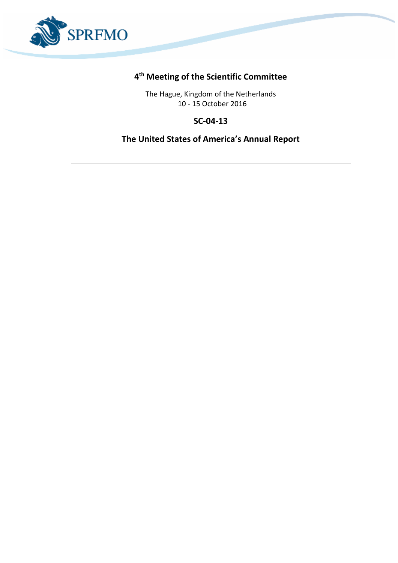

## **4 th Meeting of the Scientific Committee**

The Hague, Kingdom of the Netherlands 10 - 15 October 2016

## **SC-04-13**

## **The United States of America's Annual Report**